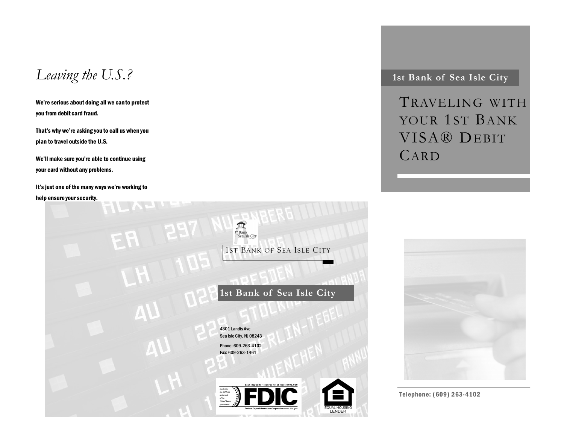*Leaving the U.S.?* 1st Bank of Sea Isle City

We're serious about doing all we can to protect you from debit card fraud.

That's why we're asking you to call us when you plan to travel outside the U.S.

We'll make sure you're able to continue using your card without any problems.

It's just one of the many ways we're working to help ensure your security.



TRAVELING WITH YOUR 1ST BANK VISA® DEBIT CARD



Telephone: (609) 263-4102